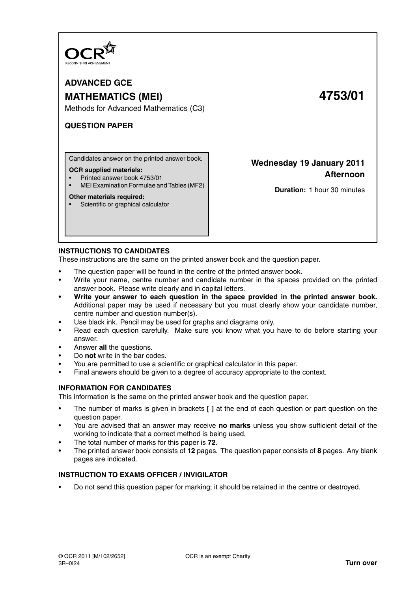

**ADVANCED GCE MATHEMATICS (MEI) 4753/01**

Methods for Advanced Mathematics (C3)

## **QUESTION PAPER**

Candidates answer on the printed answer book.

### **OCR supplied materials:**

- Printed answer book 4753/01
- MEI Examination Formulae and Tables (MF2)

#### **Other materials required:**

• Scientific or graphical calculator

# **Wednesday 19 January 2011 Afternoon**

**Duration:** 1 hour 30 minutes

## **INSTRUCTIONS TO CANDIDATES**

These instructions are the same on the printed answer book and the question paper.

- The question paper will be found in the centre of the printed answer book.
- Write your name, centre number and candidate number in the spaces provided on the printed answer book. Please write clearly and in capital letters.
- **Write your answer to each question in the space provided in the printed answer book.** Additional paper may be used if necessary but you must clearly show your candidate number, centre number and question number(s).
- Use black ink. Pencil may be used for graphs and diagrams only.
- Read each question carefully. Make sure you know what you have to do before starting your answer.
- Answer **all** the questions.
- Do **not** write in the bar codes.
- You are permitted to use a scientific or graphical calculator in this paper.
- Final answers should be given to a degree of accuracy appropriate to the context.

## **INFORMATION FOR CANDIDATES**

This information is the same on the printed answer book and the question paper.

- The number of marks is given in brackets **[ ]** at the end of each question or part question on the question paper.
- You are advised that an answer may receive **no marks** unless you show sufficient detail of the working to indicate that a correct method is being used.
- The total number of marks for this paper is **72**.
- The printed answer book consists of **12** pages. The question paper consists of **8** pages. Any blank pages are indicated.

## **INSTRUCTION TO EXAMS OFFICER / INVIGILATOR**

• Do not send this question paper for marking; it should be retained in the centre or destroyed.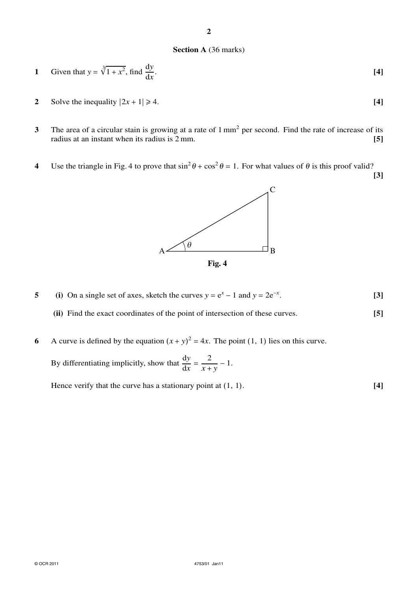## **Section A** (36 marks)

1 Given that 
$$
y = \sqrt[3]{1 + x^2}
$$
, find  $\frac{dy}{dx}$ . [4]

- **2** Solve the inequality  $|2x + 1| \ge 4$ . [4]
- **3** The area of a circular stain is growing at a rate of 1 mm<sup>2</sup> per second. Find the rate of increase of its radius at an instant when its radius is 2 mm. **[5]**
- **4** Use the triangle in Fig. 4 to prove that  $\sin^2 \theta + \cos^2 \theta = 1$ . For what values of  $\theta$  is this proof valid?



- **5** (i) On a single set of axes, sketch the curves  $y = e^x 1$  and  $y = 2e^{-x}$ . **[3]**
	- **(ii)** Find the exact coordinates of the point of intersection of these curves. **[5]**
- **6** A curve is defined by the equation  $(x + y)^2 = 4x$ . The point (1, 1) lies on this curve.

By differentiating implicitly, show that  $\frac{dy}{dx}$  = 2  $\frac{2}{x+y}$  – 1.

Hence verify that the curve has a stationary point at  $(1, 1)$ . [4]

**[3]**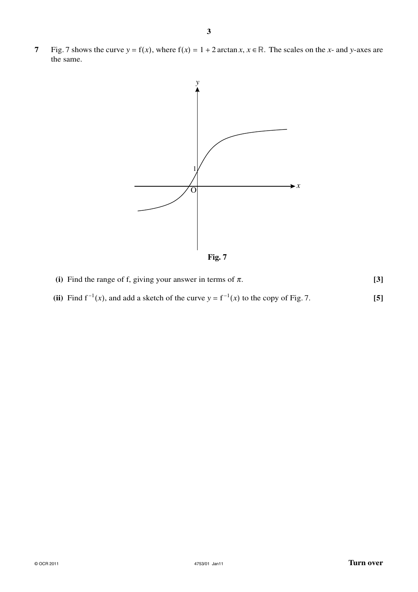**7** Fig. 7 shows the curve  $y = f(x)$ , where  $f(x) = 1 + 2 \arctan x$ ,  $x \in \mathbb{R}$ . The scales on the *x*- and *y*-axes are the same.



| (i) Find the range of f, giving your answer in terms of $\pi$ .                              | $\lceil 3 \rceil$ |
|----------------------------------------------------------------------------------------------|-------------------|
| (ii) Find $f^{-1}(x)$ , and add a sketch of the curve $y = f^{-1}(x)$ to the copy of Fig. 7. | $\sqrt{5}$        |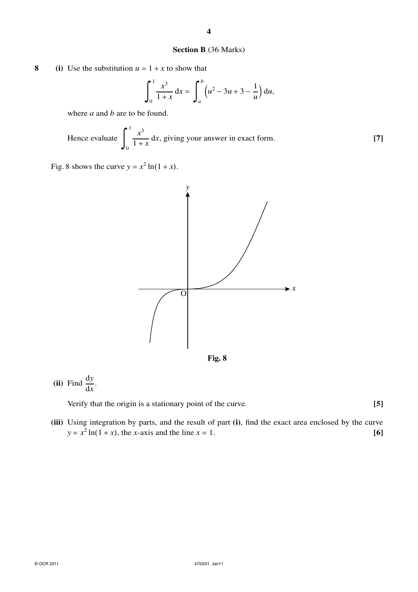## **Section B** (36 Marks)

**8** (i) Use the substitution  $u = 1 + x$  to show that

$$
\int_0^1 \frac{x^3}{1+x} dx = \int_a^b \left( u^2 - 3u + 3 - \frac{1}{u} \right) du,
$$

where *a* and *b* are to be found.

Hence evaluate 
$$
\int_0^1 \frac{x^3}{1+x} dx
$$
, giving your answer in exact form. [7]

Fig. 8 shows the curve  $y = x^2 \ln(1 + x)$ .



**Fig. 8**

(ii) Find  $\frac{dy}{dx}$ .

Verify that the origin is a stationary point of the curve. **[5]**

- 
- **(iii)** Using integration by parts, and the result of part **(i)**, find the exact area enclosed by the curve  $y = x^2 \ln(1 + x)$ , the *x*-axis and the line  $x = 1$ . **[6]**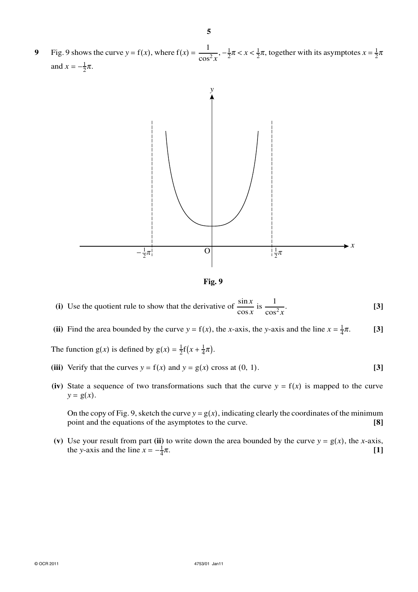**9** Fig. 9 shows the curve  $y = f(x)$ , where  $f(x) = \frac{1}{\cos^2 x}, -\frac{1}{2}$  $\frac{1}{2}\pi < x < \frac{1}{2}$  $\frac{1}{2}\pi$ , together with its asymptotes  $x = \frac{1}{2}$  $rac{1}{2}\pi$ and  $x = -\frac{1}{2}$  $rac{1}{2}\pi$ .



**Fig. 9**

- (i) Use the quotient rule to show that the derivative of  $\frac{\sin x}{\cos x}$  is  $\frac{1}{\cos x}$  $\cos^2 x$ . **[3]**
- (ii) Find the area bounded by the curve  $y = f(x)$ , the *x*-axis, the *y*-axis and the line  $x = \frac{1}{4}$ 4 <sup>π</sup>. **[3]**

The function  $g(x)$  is defined by  $g(x) = \frac{1}{2}f(x + \frac{1}{4})$  $rac{1}{4}\pi$ .

- (iii) Verify that the curves  $y = f(x)$  and  $y = g(x)$  cross at  $(0, 1)$ . [3]
- (iv) State a sequence of two transformations such that the curve  $y = f(x)$  is mapped to the curve  $y = g(x)$ .

On the copy of Fig. 9, sketch the curve  $y = g(x)$ , indicating clearly the coordinates of the minimum point and the equations of the asymptotes to the curve. [8] point and the equations of the asymptotes to the curve. **[8]**

(v) Use your result from part (ii) to write down the area bounded by the curve  $y = g(x)$ , the *x*-axis, the *y*-axis and the line  $x = -\frac{1}{4}$ 4  $\pi$ . [1]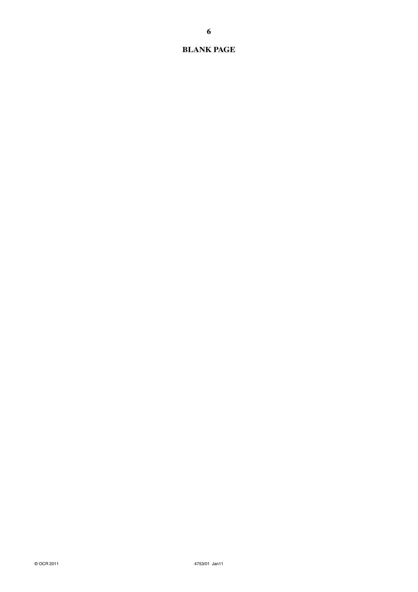## **BLANK PAGE**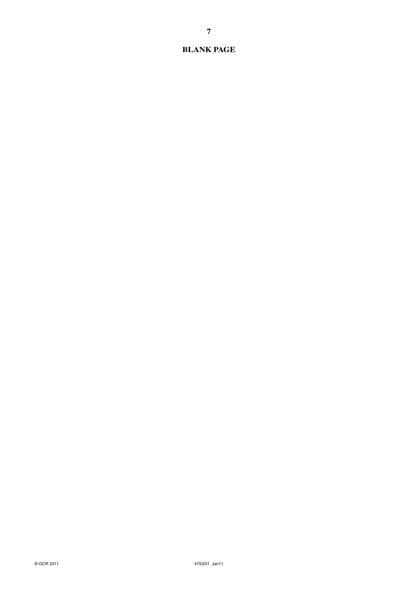## **BLANK PAGE**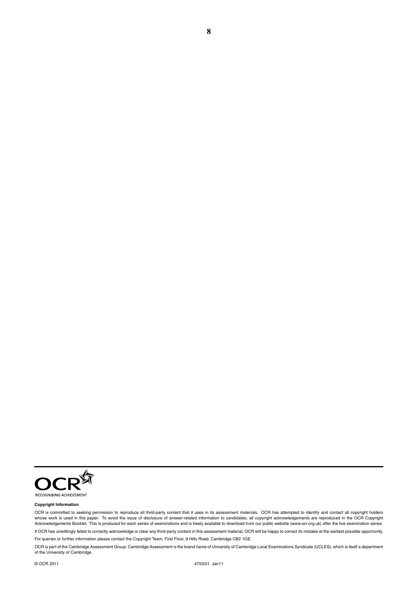

#### **Copyright Information**

OCR is committed to seeking permission to reproduce all third-party content that it uses in its assessment materials. OCR has attempted to identify and contact all copyright holders whose work is used in this paper. To avoid the issue of disclosure of answer-related information to candidates, all copyright acknowledgements are reproduced in the OCR Copyright Acknowledgements Booklet. This is produced for each series of examinations and is freely available to download from our public website (www.ocr.org.uk) after the live examination series.

**8**

If OCR has unwittingly failed to correctly acknowledge or clear any third-party content in this assessment material, OCR will be happy to correct its mistake at the earliest possible opportunity. For queries or further information please contact the Copyright Team, First Floor, 9 Hills Road, Cambridge CB2 1GE.

OCR is part of the Cambridge Assessment Group; Cambridge Assessment is the brand name of University of Cambridge Local Examinations Syndicate (UCLES), which is itself a department of the University of Cambridge.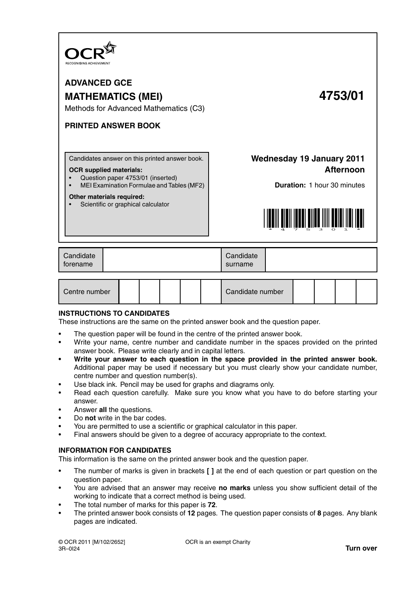

**ADVANCED GCE MATHEMATICS (MEI) 4753/01**

Methods for Advanced Mathematics (C3)

# **PRINTED ANSWER BOOK**

Candidates answer on this printed answer book.

### **OCR supplied materials:**

- Question paper 4753/01 (inserted)
- MEI Examination Formulae and Tables (MF2)

### **Other materials required:**

Scientific or graphical calculator

# **Wednesday 19 January 2011 Afternoon**

**Duration:** 1 hour 30 minutes



| Candidate<br>forename |  |  |  | Candidate<br>surname |  |  |  |
|-----------------------|--|--|--|----------------------|--|--|--|
|                       |  |  |  |                      |  |  |  |

| Centre number |  |  |  |  | Candidate number |  |  |  |  |  |
|---------------|--|--|--|--|------------------|--|--|--|--|--|
|---------------|--|--|--|--|------------------|--|--|--|--|--|

## **INSTRUCTIONS TO CANDIDATES**

These instructions are the same on the printed answer book and the question paper.

- The question paper will be found in the centre of the printed answer book.
- Write your name, centre number and candidate number in the spaces provided on the printed answer book. Please write clearly and in capital letters.
- **Write your answer to each question in the space provided in the printed answer book.** Additional paper may be used if necessary but you must clearly show your candidate number, centre number and question number(s).
- Use black ink. Pencil may be used for graphs and diagrams only.
- Read each question carefully. Make sure you know what you have to do before starting your answer.
- Answer **all** the questions.
- Do **not** write in the bar codes.
- You are permitted to use a scientific or graphical calculator in this paper.
- Final answers should be given to a degree of accuracy appropriate to the context.

## **INFORMATION FOR CANDIDATES**

This information is the same on the printed answer book and the question paper.

- The number of marks is given in brackets **[ ]** at the end of each question or part question on the question paper.
- You are advised that an answer may receive **no marks** unless you show sufficient detail of the working to indicate that a correct method is being used.
- The total number of marks for this paper is **72**.
- The printed answer book consists of **12** pages. The question paper consists of **8** pages. Any blank pages are indicated.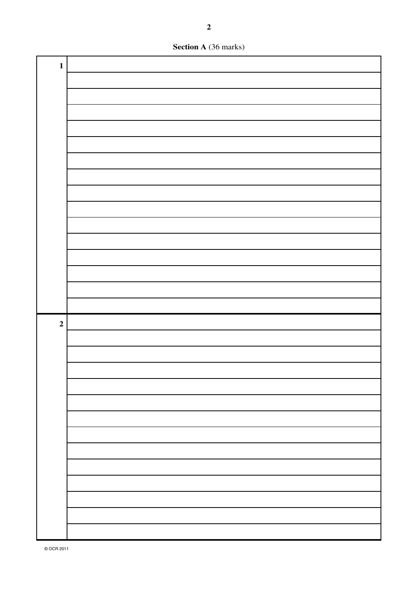**Section A** (36 marks)

|             | $\mathbf 1$ |
|-------------|-------------|
|             |             |
|             |             |
|             |             |
|             |             |
|             |             |
|             |             |
|             |             |
|             |             |
|             |             |
|             |             |
|             |             |
|             |             |
|             |             |
|             |             |
|             |             |
|             |             |
|             |             |
|             |             |
| $\mathbf 2$ |             |
|             |             |
|             |             |
|             |             |
|             |             |
|             |             |
|             |             |
|             |             |
|             |             |
|             |             |
|             |             |
|             |             |
|             |             |
|             |             |
|             |             |
|             |             |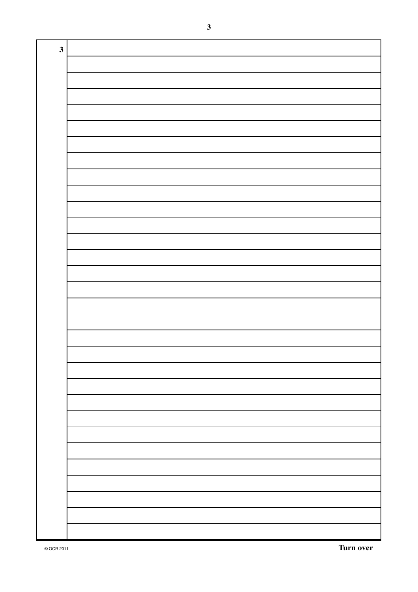| $\mathbf{3}$ |  |
|--------------|--|
|              |  |
|              |  |
|              |  |
|              |  |
|              |  |
|              |  |
|              |  |
|              |  |
|              |  |
|              |  |
|              |  |
|              |  |
|              |  |
|              |  |
|              |  |
|              |  |
|              |  |
|              |  |
|              |  |
|              |  |
|              |  |
|              |  |
|              |  |
|              |  |
|              |  |
|              |  |
|              |  |
|              |  |
|              |  |
|              |  |
|              |  |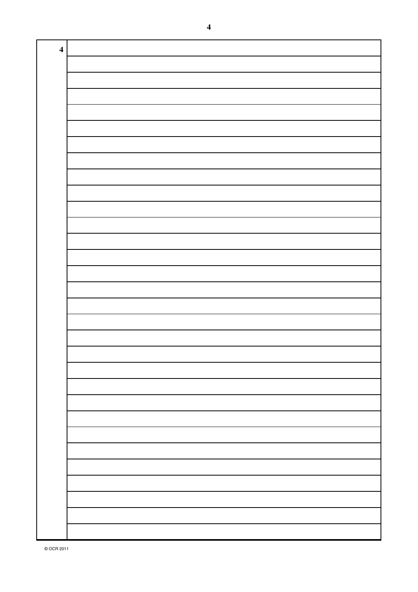| $\overline{\mathbf{4}}$ |  |
|-------------------------|--|
|                         |  |
|                         |  |
|                         |  |
|                         |  |
|                         |  |
|                         |  |
|                         |  |
|                         |  |
|                         |  |
|                         |  |
|                         |  |
|                         |  |
|                         |  |
|                         |  |
|                         |  |
|                         |  |
|                         |  |
|                         |  |
|                         |  |
|                         |  |
|                         |  |
|                         |  |
|                         |  |
|                         |  |
|                         |  |
|                         |  |
|                         |  |
|                         |  |
|                         |  |
|                         |  |
|                         |  |
|                         |  |
|                         |  |
|                         |  |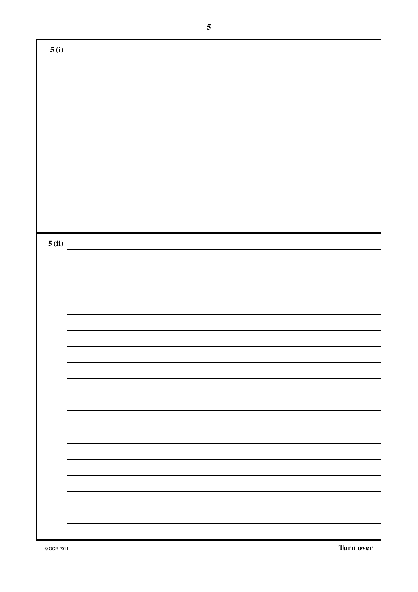| 5(i) |  |
|------|--|
|      |  |
|      |  |
|      |  |
|      |  |
|      |  |
|      |  |
|      |  |
|      |  |
|      |  |
|      |  |
|      |  |
| 5(i) |  |
|      |  |
|      |  |
|      |  |
|      |  |
|      |  |
|      |  |
|      |  |
|      |  |
|      |  |
|      |  |
|      |  |
|      |  |
|      |  |
|      |  |
|      |  |
|      |  |
|      |  |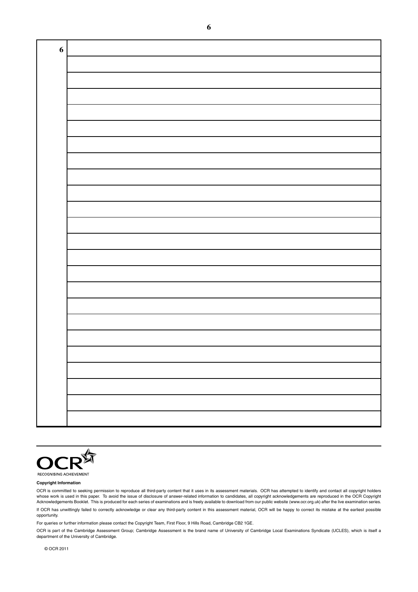| $\boldsymbol{6}$ |  |
|------------------|--|
|                  |  |
|                  |  |
|                  |  |
|                  |  |
|                  |  |
|                  |  |
|                  |  |
|                  |  |
|                  |  |
|                  |  |
|                  |  |
|                  |  |
|                  |  |
|                  |  |
|                  |  |
|                  |  |
|                  |  |
|                  |  |
|                  |  |
|                  |  |
|                  |  |
|                  |  |
|                  |  |



#### **Copyright Information**

OCR is committed to seeking permission to reproduce all third-party content that it uses in its assessment materials. OCR has attempted to identify and contact all copyright holders whose work is used in this paper. To avoid the issue of disclosure of answer-related information to candidates, all copyright acknowledgements are reproduced in the OCR Copyright Acknowledgements Booklet. This is produced for each series of examinations and is freely available to download from our public website (www.ocr.org.uk) after the live examination series.

If OCR has unwittingly failed to correctly acknowledge or clear any third-party content in this assessment material, OCR will be happy to correct its mistake at the earliest possible opportunity.

For queries or further information please contact the Copyright Team, First Floor, 9 Hills Road, Cambridge CB2 1GE.

OCR is part of the Cambridge Assessment Group; Cambridge Assessment is the brand name of University of Cambridge Local Examinations Syndicate (UCLES), which is itself a department of the University of Cambridge.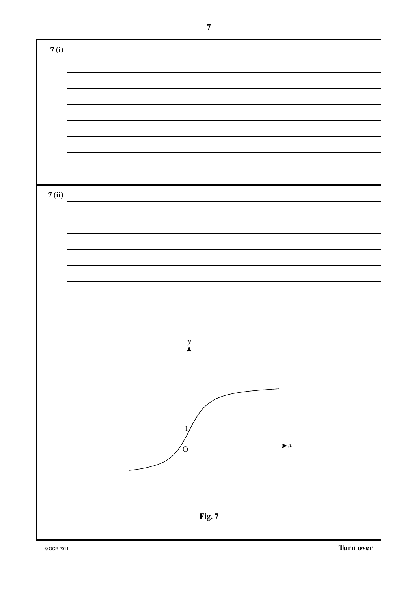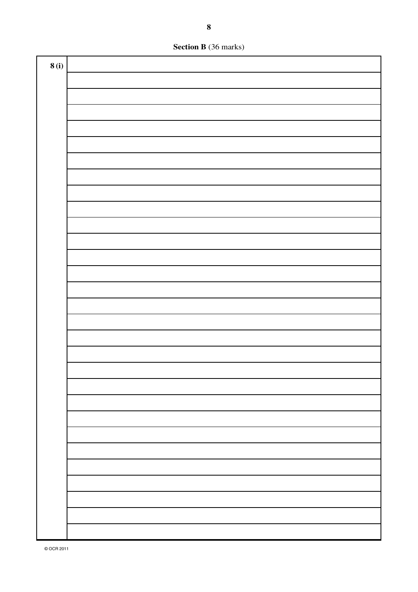**Section B** (36 marks)

| 8(i) |  |
|------|--|
|      |  |
|      |  |
|      |  |
|      |  |
|      |  |
|      |  |
|      |  |
|      |  |
|      |  |
|      |  |
|      |  |
|      |  |
|      |  |
|      |  |
|      |  |
|      |  |
|      |  |
|      |  |
|      |  |
|      |  |
|      |  |
|      |  |
|      |  |
|      |  |
|      |  |
|      |  |
|      |  |
|      |  |
|      |  |
|      |  |
|      |  |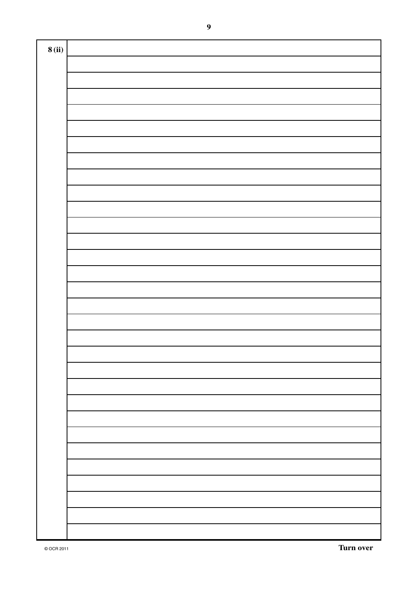| 8(i) |  |
|------|--|
|      |  |
|      |  |
|      |  |
|      |  |
|      |  |
|      |  |
|      |  |
|      |  |
|      |  |
|      |  |
|      |  |
|      |  |
|      |  |
|      |  |
|      |  |
|      |  |
|      |  |
|      |  |
|      |  |
|      |  |
|      |  |
|      |  |
|      |  |
|      |  |
|      |  |
|      |  |
|      |  |
|      |  |
|      |  |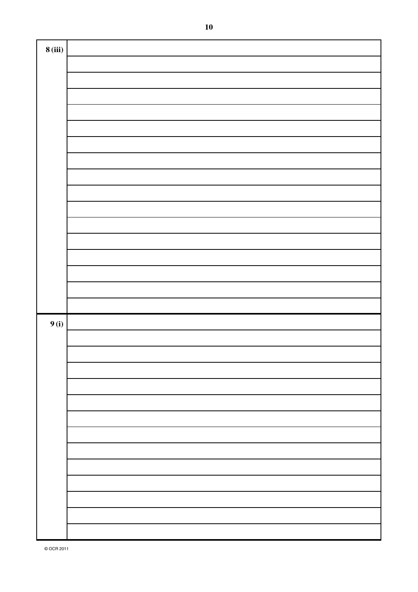| 8(iii) |  |
|--------|--|
|        |  |
|        |  |
|        |  |
|        |  |
|        |  |
|        |  |
|        |  |
|        |  |
|        |  |
|        |  |
|        |  |
|        |  |
|        |  |
|        |  |
|        |  |
|        |  |
| 9(i)   |  |
|        |  |
|        |  |
|        |  |
|        |  |
|        |  |
|        |  |
|        |  |
|        |  |
|        |  |
|        |  |
|        |  |
|        |  |
|        |  |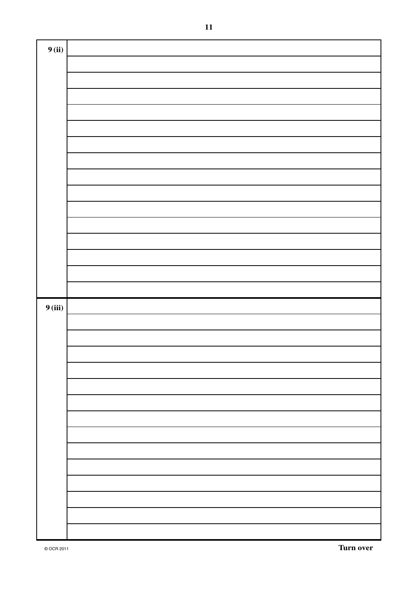| 9(ii)  |  |
|--------|--|
|        |  |
|        |  |
|        |  |
|        |  |
|        |  |
|        |  |
|        |  |
|        |  |
|        |  |
|        |  |
|        |  |
|        |  |
|        |  |
|        |  |
|        |  |
| 9(iii) |  |
|        |  |
|        |  |
|        |  |
|        |  |
|        |  |
|        |  |
|        |  |
|        |  |
|        |  |
|        |  |
|        |  |
|        |  |
|        |  |
|        |  |